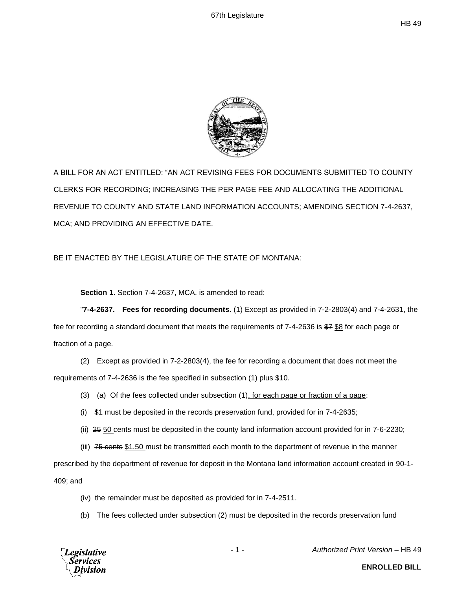

A BILL FOR AN ACT ENTITLED: "AN ACT REVISING FEES FOR DOCUMENTS SUBMITTED TO COUNTY CLERKS FOR RECORDING; INCREASING THE PER PAGE FEE AND ALLOCATING THE ADDITIONAL REVENUE TO COUNTY AND STATE LAND INFORMATION ACCOUNTS; AMENDING SECTION 7-4-2637, MCA; AND PROVIDING AN EFFECTIVE DATE.

## BE IT ENACTED BY THE LEGISLATURE OF THE STATE OF MONTANA:

**Section 1.** Section 7-4-2637, MCA, is amended to read:

"**7-4-2637. Fees for recording documents.** (1) Except as provided in 7-2-2803(4) and 7-4-2631, the fee for recording a standard document that meets the requirements of 7-4-2636 is \$7 \$8 for each page or fraction of a page.

(2) Except as provided in 7-2-2803(4), the fee for recording a document that does not meet the requirements of 7-4-2636 is the fee specified in subsection (1) plus \$10.

- (3) (a) Of the fees collected under subsection  $(1)$ , for each page or fraction of a page:
- (i) \$1 must be deposited in the records preservation fund, provided for in 7-4-2635;
- (ii) 25 50 cents must be deposited in the county land information account provided for in 7-6-2230;
- (iii)  $75$  cents \$1.50 must be transmitted each month to the department of revenue in the manner

prescribed by the department of revenue for deposit in the Montana land information account created in 90-1- 409; and

- (iv) the remainder must be deposited as provided for in 7-4-2511.
- (b) The fees collected under subsection (2) must be deposited in the records preservation fund



- 1 - *Authorized Print Version* – HB 49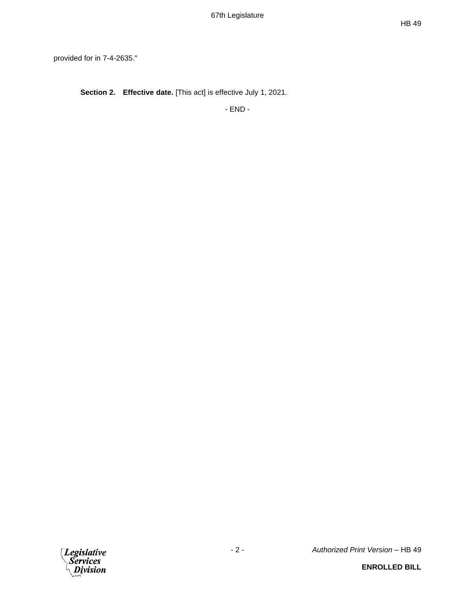provided for in 7-4-2635."

**Section 2. Effective date.** [This act] is effective July 1, 2021.

- END -

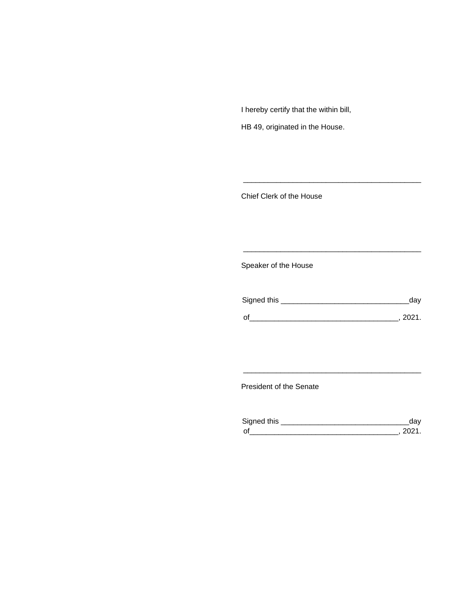I hereby certify that the within bill,

HB 49, originated in the House.

Chief Clerk of the House

Speaker of the House

| Signed this | dav    |
|-------------|--------|
| $\Omega$    | - 2021 |

\_\_\_\_\_\_\_\_\_\_\_\_\_\_\_\_\_\_\_\_\_\_\_\_\_\_\_\_\_\_\_\_\_\_\_\_\_\_\_\_\_\_\_

\_\_\_\_\_\_\_\_\_\_\_\_\_\_\_\_\_\_\_\_\_\_\_\_\_\_\_\_\_\_\_\_\_\_\_\_\_\_\_\_\_\_\_

President of the Senate

| Sianed this |  |
|-------------|--|
| $\Omega$    |  |

\_\_\_\_\_\_\_\_\_\_\_\_\_\_\_\_\_\_\_\_\_\_\_\_\_\_\_\_\_\_\_\_\_\_\_\_\_\_\_\_\_\_\_